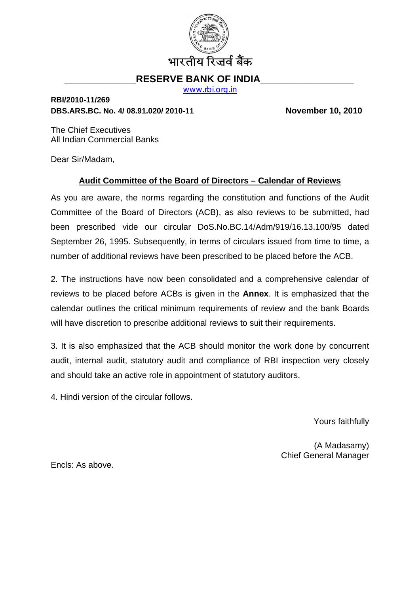

# **RESERVE BANK OF INDIA**

[www.rbi.org.in](http://www.rbi.org.in/)

## **RBI/2010-11/269 DBS.ARS.BC. No. 4/ 08.91.020/ 2010-11 November 10, 2010**

The Chief Executives All Indian Commercial Banks

Dear Sir/Madam,

## **Audit Committee of the Board of Directors – Calendar of Reviews**

As you are aware, the norms regarding the constitution and functions of the Audit Committee of the Board of Directors (ACB), as also reviews to be submitted, had been prescribed vide our circular DoS.No.BC.14/Adm/919/16.13.100/95 dated September 26, 1995. Subsequently, in terms of circulars issued from time to time, a number of additional reviews have been prescribed to be placed before the ACB.

2. The instructions have now been consolidated and a comprehensive calendar of reviews to be placed before ACBs is given in the **Annex**. It is emphasized that the calendar outlines the critical minimum requirements of review and the bank Boards will have discretion to prescribe additional reviews to suit their requirements.

3. It is also emphasized that the ACB should monitor the work done by concurrent audit, internal audit, statutory audit and compliance of RBI inspection very closely and should take an active role in appointment of statutory auditors.

4. Hindi version of the circular follows.

Yours faithfully

(A Madasamy) Chief General Manager

Encls: As above.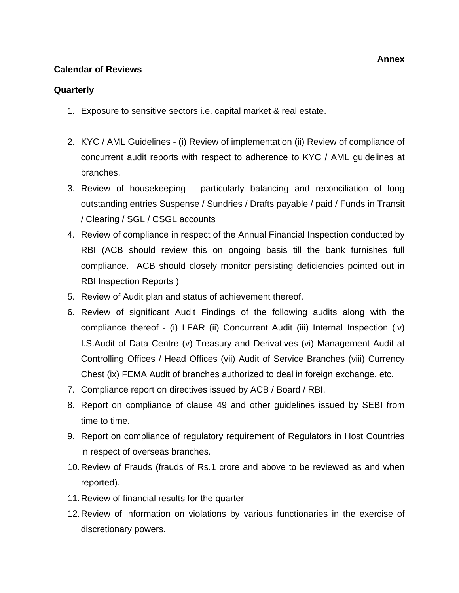#### **Calendar of Reviews**

#### **Quarterly**

- 1. Exposure to sensitive sectors i.e. capital market & real estate.
- 2. KYC / AML Guidelines (i) Review of implementation (ii) Review of compliance of concurrent audit reports with respect to adherence to KYC / AML guidelines at branches.
- 3. Review of housekeeping particularly balancing and reconciliation of long outstanding entries Suspense / Sundries / Drafts payable / paid / Funds in Transit / Clearing / SGL / CSGL accounts
- 4. Review of compliance in respect of the Annual Financial Inspection conducted by RBI (ACB should review this on ongoing basis till the bank furnishes full compliance. ACB should closely monitor persisting deficiencies pointed out in RBI Inspection Reports )
- 5. Review of Audit plan and status of achievement thereof.
- 6. Review of significant Audit Findings of the following audits along with the compliance thereof - (i) LFAR (ii) Concurrent Audit (iii) Internal Inspection (iv) I.S.Audit of Data Centre (v) Treasury and Derivatives (vi) Management Audit at Controlling Offices / Head Offices (vii) Audit of Service Branches (viii) Currency Chest (ix) FEMA Audit of branches authorized to deal in foreign exchange, etc.
- 7. Compliance report on directives issued by ACB / Board / RBI.
- 8. Report on compliance of clause 49 and other guidelines issued by SEBI from time to time.
- 9. Report on compliance of regulatory requirement of Regulators in Host Countries in respect of overseas branches.
- 10. Review of Frauds (frauds of Rs.1 crore and above to be reviewed as and when reported).
- 11. Review of financial results for the quarter
- 12. Review of information on violations by various functionaries in the exercise of discretionary powers.